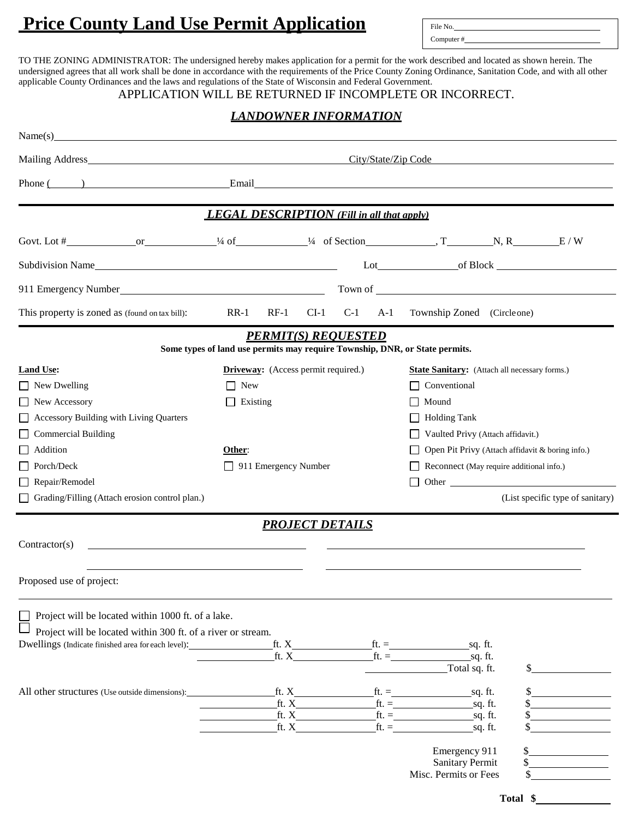# **Price County Land Use Permit Application**

File No. Computer #

TO THE ZONING ADMINISTRATOR: The undersigned hereby makes application for a permit for the work described and located as shown herein. The undersigned agrees that all work shall be done in accordance with the requirements of the Price County Zoning Ordinance, Sanitation Code, and with all other applicable County Ordinances and the laws and regulations of the State of Wisconsin and Federal Government.

## APPLICATION WILL BE RETURNED IF INCOMPLETE OR INCORRECT.

## *LANDOWNER INFORMATION*

| Name(s)                                                                                                                                                                                                                              |                                                   |                                                                                                                                                                                                                                                                                    |        |                        |       |                                                                      |                                                                                                                                                                                                                                |                                  |  |
|--------------------------------------------------------------------------------------------------------------------------------------------------------------------------------------------------------------------------------------|---------------------------------------------------|------------------------------------------------------------------------------------------------------------------------------------------------------------------------------------------------------------------------------------------------------------------------------------|--------|------------------------|-------|----------------------------------------------------------------------|--------------------------------------------------------------------------------------------------------------------------------------------------------------------------------------------------------------------------------|----------------------------------|--|
|                                                                                                                                                                                                                                      | City/State/Zip Code                               |                                                                                                                                                                                                                                                                                    |        |                        |       |                                                                      |                                                                                                                                                                                                                                |                                  |  |
| Phone ( ) Email Email Email Email Email Email Email Email Email Email Email Email Email Email Email Email Email Email Email Advance of the Second State of the Broad State of the Second State of the Second State of the Seco       |                                                   |                                                                                                                                                                                                                                                                                    |        |                        |       |                                                                      |                                                                                                                                                                                                                                |                                  |  |
|                                                                                                                                                                                                                                      | <b>LEGAL DESCRIPTION</b> (Fill in all that apply) |                                                                                                                                                                                                                                                                                    |        |                        |       |                                                                      |                                                                                                                                                                                                                                |                                  |  |
|                                                                                                                                                                                                                                      |                                                   | Govt. Lot $\#$ or $\frac{1}{4}$ of $\frac{1}{4}$ of Section $\frac{1}{4}$ of Section $\frac{1}{4}$ of Section $\frac{1}{4}$ or $\frac{1}{4}$ of Section $\frac{1}{4}$ or $\frac{1}{4}$ or $\frac{1}{4}$ or $\frac{1}{4}$ of Section $\frac{1}{4}$ or $\frac{1}{4}$ or $\frac{1}{4$ |        |                        |       |                                                                      |                                                                                                                                                                                                                                |                                  |  |
| Subdivision Name                                                                                                                                                                                                                     |                                                   |                                                                                                                                                                                                                                                                                    |        |                        |       |                                                                      |                                                                                                                                                                                                                                |                                  |  |
| 911 Emergency Number<br><u>Letter</u> and the set of the set of the set of the set of the set of the set of the set of the set of the set of the set of the set of the set of the set of the set of the set of the set of the set of |                                                   |                                                                                                                                                                                                                                                                                    |        |                        |       |                                                                      |                                                                                                                                                                                                                                |                                  |  |
| This property is zoned as (found on tax bill):                                                                                                                                                                                       | $RR-1$                                            | $RF-1$                                                                                                                                                                                                                                                                             | $CI-1$ | $C-1$                  | $A-1$ | Township Zoned (Circle one)                                          |                                                                                                                                                                                                                                |                                  |  |
|                                                                                                                                                                                                                                      |                                                   | <b>PERMIT(S) REOUESTED</b>                                                                                                                                                                                                                                                         |        |                        |       |                                                                      |                                                                                                                                                                                                                                |                                  |  |
| <b>Land Use:</b>                                                                                                                                                                                                                     |                                                   | Some types of land use permits may require Township, DNR, or State permits.<br><b>Driveway:</b> (Access permit required.)                                                                                                                                                          |        |                        |       |                                                                      |                                                                                                                                                                                                                                |                                  |  |
| $\Box$ New Dwelling                                                                                                                                                                                                                  | $\Box$ New                                        |                                                                                                                                                                                                                                                                                    |        |                        |       | <b>State Sanitary:</b> (Attach all necessary forms.)<br>Conventional |                                                                                                                                                                                                                                |                                  |  |
| New Accessory<br>$\mathsf{L}$                                                                                                                                                                                                        |                                                   | $\Box$ Existing                                                                                                                                                                                                                                                                    |        |                        |       | Mound                                                                |                                                                                                                                                                                                                                |                                  |  |
| Accessory Building with Living Quarters                                                                                                                                                                                              |                                                   |                                                                                                                                                                                                                                                                                    |        |                        |       | <b>Holding Tank</b>                                                  |                                                                                                                                                                                                                                |                                  |  |
| <b>Commercial Building</b>                                                                                                                                                                                                           |                                                   |                                                                                                                                                                                                                                                                                    |        |                        |       | Vaulted Privy (Attach affidavit.)                                    |                                                                                                                                                                                                                                |                                  |  |
| Addition                                                                                                                                                                                                                             | Other:                                            |                                                                                                                                                                                                                                                                                    |        |                        |       | Open Pit Privy (Attach affidavit & boring info.)                     |                                                                                                                                                                                                                                |                                  |  |
| Porch/Deck                                                                                                                                                                                                                           | $\Box$ 911 Emergency Number                       |                                                                                                                                                                                                                                                                                    |        |                        |       | Reconnect (May require additional info.)                             |                                                                                                                                                                                                                                |                                  |  |
| Repair/Remodel                                                                                                                                                                                                                       |                                                   |                                                                                                                                                                                                                                                                                    |        |                        |       |                                                                      | Other contract to the contract of the contract of the contract of the contract of the contract of the contract of the contract of the contract of the contract of the contract of the contract of the contract of the contract |                                  |  |
| Grading/Filling (Attach erosion control plan.)                                                                                                                                                                                       |                                                   |                                                                                                                                                                                                                                                                                    |        |                        |       |                                                                      |                                                                                                                                                                                                                                | (List specific type of sanitary) |  |
|                                                                                                                                                                                                                                      |                                                   |                                                                                                                                                                                                                                                                                    |        | <b>PROJECT DETAILS</b> |       |                                                                      |                                                                                                                                                                                                                                |                                  |  |
| Contractor(s)<br><u> 1989 - John Stein, Amerikaansk politiker († 1908)</u>                                                                                                                                                           |                                                   |                                                                                                                                                                                                                                                                                    |        |                        |       |                                                                      |                                                                                                                                                                                                                                |                                  |  |
| Proposed use of project:                                                                                                                                                                                                             |                                                   |                                                                                                                                                                                                                                                                                    |        |                        |       |                                                                      |                                                                                                                                                                                                                                |                                  |  |
| Project will be located within 1000 ft. of a lake.                                                                                                                                                                                   |                                                   |                                                                                                                                                                                                                                                                                    |        |                        |       |                                                                      |                                                                                                                                                                                                                                |                                  |  |
| Project will be located within 300 ft. of a river or stream.                                                                                                                                                                         |                                                   |                                                                                                                                                                                                                                                                                    |        |                        |       |                                                                      |                                                                                                                                                                                                                                |                                  |  |
| Dwellings (Indicate finished area for each level):______________________________                                                                                                                                                     |                                                   |                                                                                                                                                                                                                                                                                    |        |                        |       |                                                                      |                                                                                                                                                                                                                                |                                  |  |
|                                                                                                                                                                                                                                      |                                                   |                                                                                                                                                                                                                                                                                    | ft. X  |                        |       | $ft. =$ sq. ft.<br>Total sq. ft.                                     |                                                                                                                                                                                                                                |                                  |  |
|                                                                                                                                                                                                                                      |                                                   |                                                                                                                                                                                                                                                                                    |        |                        |       |                                                                      |                                                                                                                                                                                                                                |                                  |  |
| All other structures (Use outside dimensions):                                                                                                                                                                                       |                                                   | ft. $X_{-}$<br>ft. $X$                                                                                                                                                                                                                                                             |        |                        |       | $\mathrm{ft.} =$<br><u>sq</u> . ft.<br>$\text{ft.} =$                | sq. ft.                                                                                                                                                                                                                        |                                  |  |
|                                                                                                                                                                                                                                      |                                                   | ft. X                                                                                                                                                                                                                                                                              |        |                        |       | $\mathrm{ft.} =$                                                     | sq. ft.                                                                                                                                                                                                                        |                                  |  |
|                                                                                                                                                                                                                                      |                                                   | ft. X                                                                                                                                                                                                                                                                              |        |                        |       |                                                                      | sq. ft.                                                                                                                                                                                                                        |                                  |  |
|                                                                                                                                                                                                                                      |                                                   |                                                                                                                                                                                                                                                                                    |        |                        |       | Emergency 911                                                        |                                                                                                                                                                                                                                |                                  |  |
|                                                                                                                                                                                                                                      |                                                   |                                                                                                                                                                                                                                                                                    |        |                        |       | <b>Sanitary Permit</b>                                               |                                                                                                                                                                                                                                |                                  |  |
|                                                                                                                                                                                                                                      |                                                   |                                                                                                                                                                                                                                                                                    |        |                        |       | Misc. Permits or Fees                                                |                                                                                                                                                                                                                                |                                  |  |